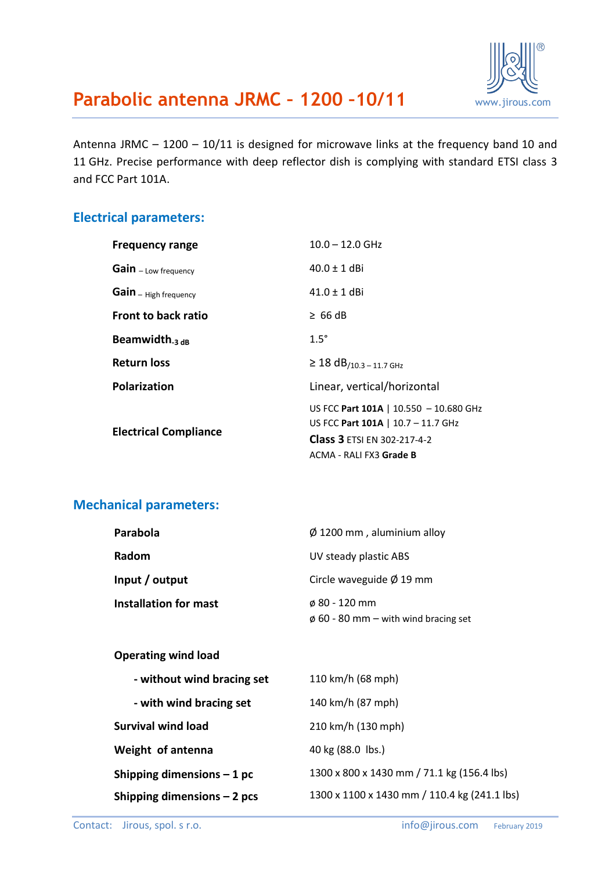

Antenna JRMC – 1200 – 10/11 is designed for microwave links at the frequency band 10 and 11 GHz. Precise performance with deep reflector dish is complying with standard ETSI class 3 and FCC Part 101A.

#### **Electrical parameters:**

| $10.0 - 12.0$ GHz                                                                                                                      |
|----------------------------------------------------------------------------------------------------------------------------------------|
| $40.0 \pm 1$ dBi                                                                                                                       |
| $41.0 \pm 1$ dBi                                                                                                                       |
| $\geq 66$ dB                                                                                                                           |
| $1.5^\circ$                                                                                                                            |
| $\geq$ 18 dB <sub>/10.3</sub> - 11.7 GHz                                                                                               |
| Linear, vertical/horizontal                                                                                                            |
| US FCC Part 101A   10.550 - 10.680 GHz<br>US FCC Part 101A   10.7 - 11.7 GHz<br>Class 3 ETSI EN 302-217-4-2<br>ACMA - RALI FX3 Grade B |
|                                                                                                                                        |

### **Mechanical parameters:**

| Parabola                     | $\varnothing$ 1200 mm, aluminium alloy    |
|------------------------------|-------------------------------------------|
| Radom                        | UV steady plastic ABS                     |
| Input / output               | Circle waveguide $\varnothing$ 19 mm      |
| <b>Installation for mast</b> | $\phi$ 80 - 120 mm                        |
|                              | $\phi$ 60 - 80 mm – with wind bracing set |

#### **Operating wind load**

| - without wind bracing set   | 110 km/h (68 mph)                            |
|------------------------------|----------------------------------------------|
| - with wind bracing set      | 140 km/h (87 mph)                            |
| <b>Survival wind load</b>    | 210 km/h (130 mph)                           |
| Weight of antenna            | 40 kg (88.0 lbs.)                            |
| Shipping dimensions $-1$ pc  | 1300 x 800 x 1430 mm / 71.1 kg (156.4 lbs)   |
| Shipping dimensions $-2$ pcs | 1300 x 1100 x 1430 mm / 110.4 kg (241.1 lbs) |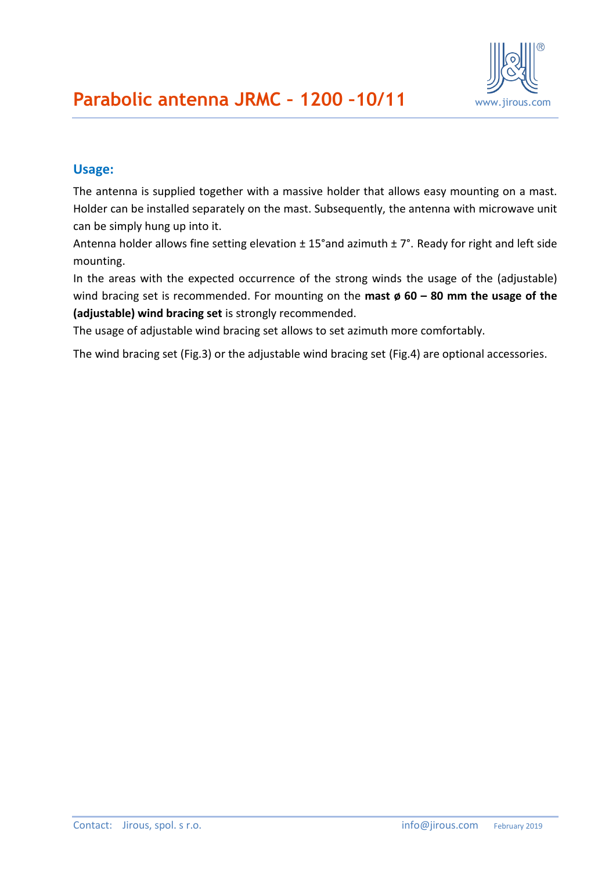

### **Usage:**

The antenna is supplied together with a massive holder that allows easy mounting on a mast. Holder can be installed separately on the mast. Subsequently, the antenna with microwave unit can be simply hung up into it.

Antenna holder allows fine setting elevation  $\pm$  15°and azimuth  $\pm$  7°. Ready for right and left side mounting.

In the areas with the expected occurrence of the strong winds the usage of the (adjustable) wind bracing set is recommended. For mounting on the **mast ø 60 – 80 mm the usage of the (adjustable) wind bracing set** is strongly recommended.

The usage of adjustable wind bracing set allows to set azimuth more comfortably.

The wind bracing set (Fig.3) or the adjustable wind bracing set (Fig.4) are optional accessories.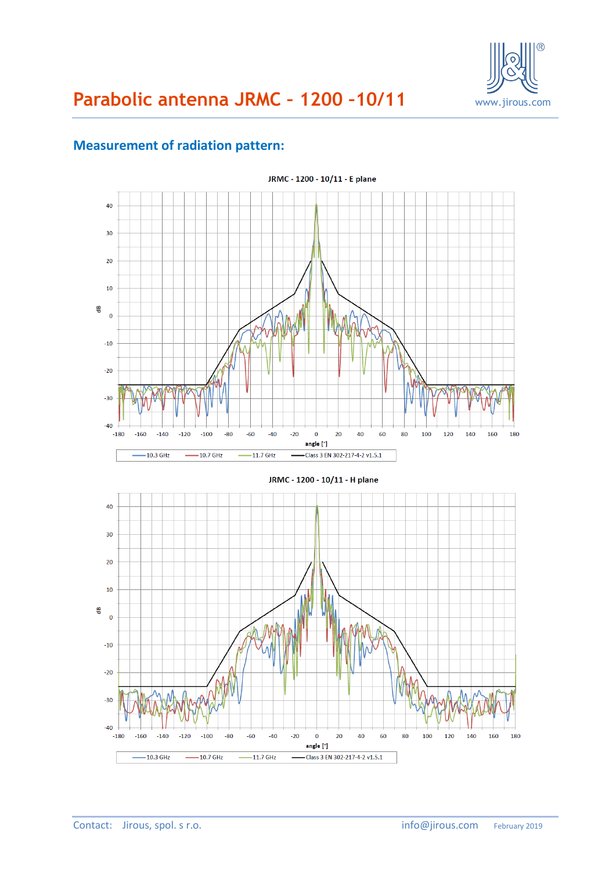

### **Measurement of radiation pattern:**

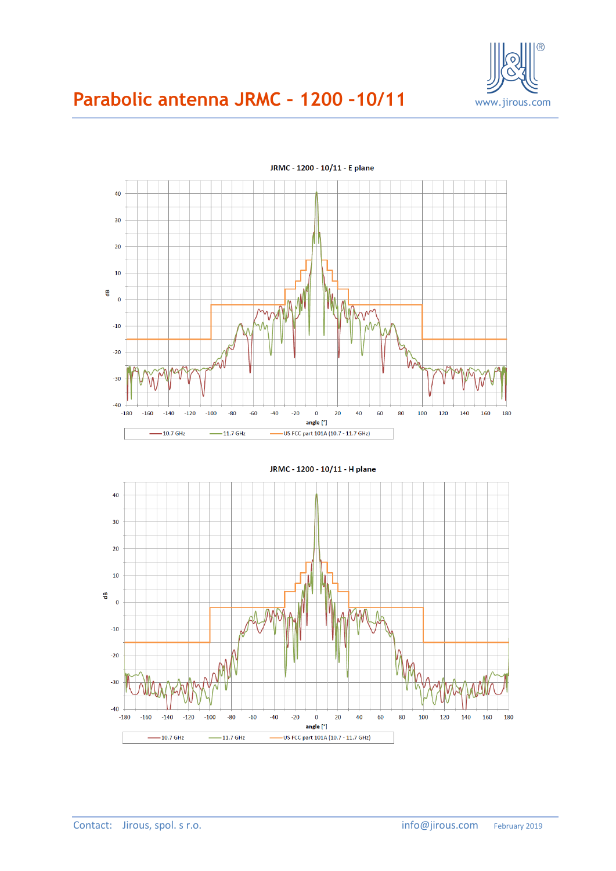



JRMC - 1200 - 10/11 - H plane 40  $30$  $20$ 10 뜽  $\overline{\mathbf{0}}$  $-10$  $-20$  $-30$  $-40$  $-180$  $-160$  $-140$  $-120$  $-100$  $-80$  $-60$  $-40$  $-20$  $\overline{0}$  $20$ 40 60 80 100 120 140 160 180 angle [°]  $-10.7$  GHz US FCC part 101A (10.7 - 11.7 GHz)  $-11.7$  GHz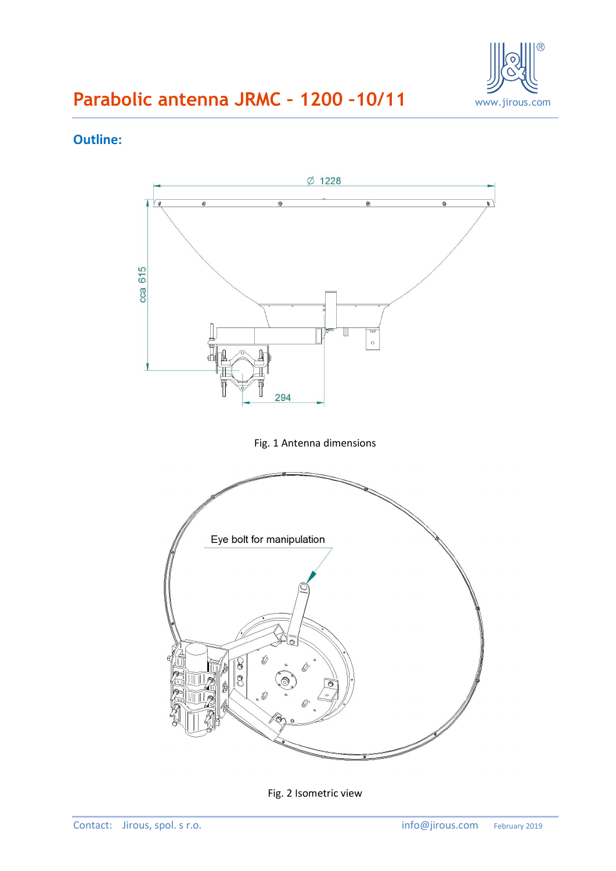

#### **Outline:**



Fig. 2 Isometric view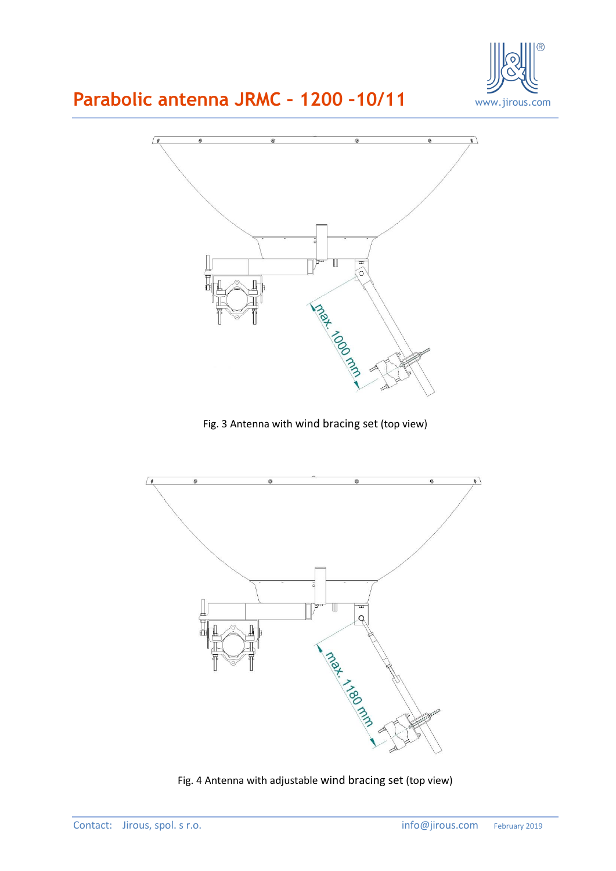



Fig. 3 Antenna with wind bracing set (top view)



Fig. 4 Antenna with adjustable wind bracing set (top view)